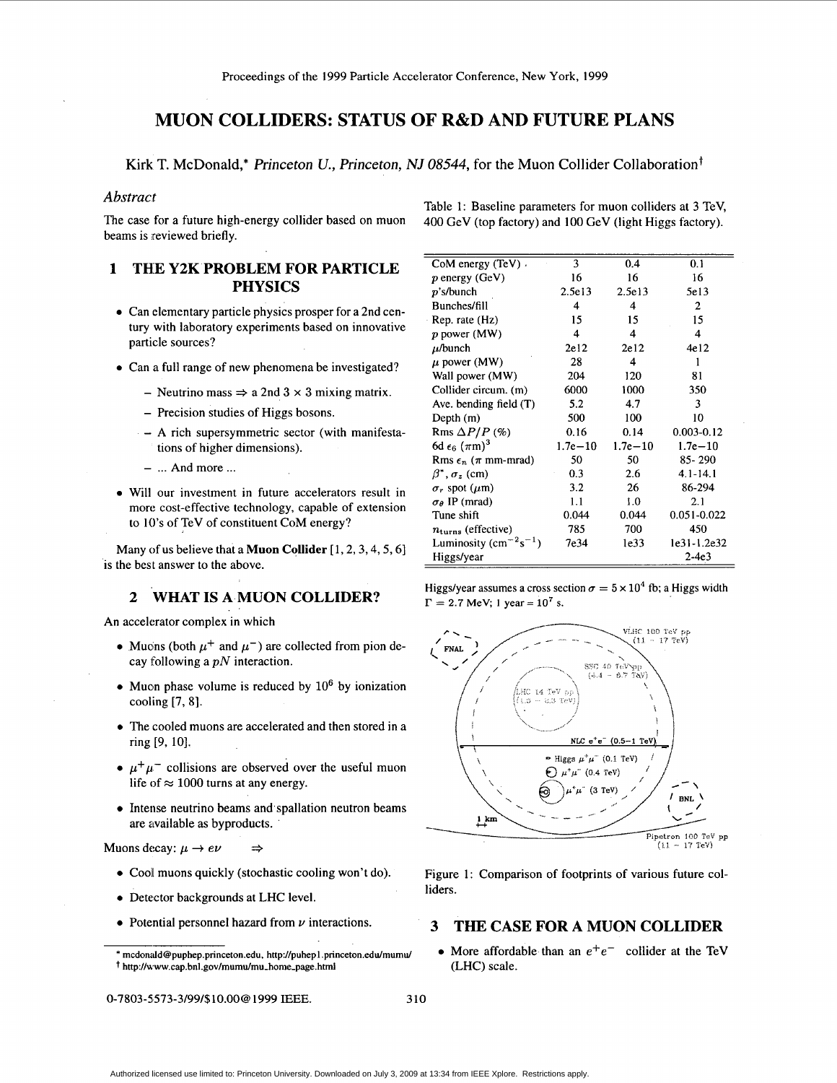# **MUON COLLIDERS: STATUS OF R&D AND FUTURE PLANS**

**Kirk** T. McDonald,\* Princeton *U.,* Princeton, *NJ 08544,* for the Muon Collider Collaboration+

# Abstract

The case for a future high-energy collider based on muon beams is reviewed briefly.

#### **1 THE Y2K PROBLEM FOR PARTICLE PHYSICS**

- *0*  Can elementary particle physics prosper for a 2nd century with laboratory experiments based on innovative particle sources?
- *0*  Can a full range of new phenomena be investigated?
	- Neutrino mass  $\Rightarrow$  a 2nd 3  $\times$  3 mixing matrix.
	- Precision studies of Higgs bosons.
	- **A** rich supersymmetric sector (with manifestations of higher dimensions).
	- ... And more ...
- **•** Will our investment in future accelerators result in more cost-effective technology, capable of extension to **10's** of TeV of constituent CoM energy?

Many of us believe that a **Muon Collider**  $[1, 2, 3, 4, 5, 6]$ is the best answer to the above.

## *2* **WHAT IS A MUON COLLIDER?**

An accelerator complex in which

- Muons (both  $\mu^+$  and  $\mu^-$ ) are collected from pion decay following a *pN* interaction.
- Muon phase volume is reduced by 10<sup>6</sup> by ionization cooling [7, **81.**
- The cooled muons are accelerated and then stored in a ring [9, 10].
- $\mu^+\mu^-$  collisions are observed over the useful muon life of  $\approx 1000$  turns at any energy.
- Intense neutrino beams and spallation neutron beams are available as byproducts.

Muons decay:  $\mu \to e\nu \implies$ 

- Cool muons quickly (stochastic cooling won't do).
- *0* Detector backgrounds at LHC level.
- *0* Potential personnel hazard from *v* interactions.

**0-7803-5,573-3/99/\$10.00@** 1999 IEEE. 310

Table 1: Baseline parameters for muon colliders at 3 TeV, 400 GeV (top factory) and 100 GeV (light Higgs factory).

| CoM energy (TeV) .                      | 3           | 0.4         | 0.1            |
|-----------------------------------------|-------------|-------------|----------------|
| $p$ energy (GeV)                        | 16          | 16          | 16             |
| $p's/b$ unch                            | 2.5e13      | 2.5e13      | 5e13           |
| Bunches/fill                            | 4           | 4           | 2              |
| Rep. rate (Hz)                          | 15          | 15          | 15             |
| p power (MW)                            | 4           | 4           | 4              |
| $\mu$ /bunch                            | 2e12        | 2e12        | 4e12           |
| $\mu$ power (MW)                        | 28          | 4           | 1              |
| Wall power (MW)                         | 204         | 120         | 81             |
| Collider circum. (m)                    | 6000        | 1000        | 350            |
| Ave. bending field (T)                  | 5.2         | 4.7         | 3              |
| Depth (m)                               | 500         | 100         | 10             |
| Rms $\Delta P/P$ (%)                    | 0.16        | 0.14        | $0.003 - 0.12$ |
| 6d $\epsilon_6$ ( $\pi$ m) <sup>3</sup> | $1.7e - 10$ | $1.7e - 10$ | $1.7e - 10$    |
| Rms $\epsilon_n$ ( $\pi$ mm-mrad)       | 50          | 50          | 85-290         |
| $\beta^*, \sigma_z$ (cm)                | 0.3         | 2.6         | $4.1 - 14.1$   |
| $\sigma_r$ spot ( $\mu$ m)              | 3.2         | 26          | 86-294         |
| $\sigma_{\theta}$ IP (mrad)             | 1.1         | 1.0         | 2.1            |
| Tune shift                              | 0.044       | 0.044       | 0.051-0.022    |
| $n_{\text{turns}}$ (effective)          | 785         | 700         | 450            |
| Luminosity $(cm^{-2}s^{-1})$            | 7e34        | le33        | le31-1.2e32    |
| Higgs/year                              |             |             | $2-4e3$        |

Higgs/year assumes a cross section  $\sigma = 5 \times 10^4$  fb; a Higgs width  $\Gamma = 2.7 \text{ MeV}; 1 \text{ year} = 10^7 \text{ s}.$ 



Figure 1: Comparison of footprints of various future colliders.

# **3 THE CASE FOR A MUON COLLIDER**

• More affordable than an  $e^+e^-$  collider at the TeV (LHC) scale.

<sup>\*</sup> **[rncdonald@puphep.princeton.edu](mailto:rncdonald@puphep.princeton.edu).** <http://puhepl> .princeton.edu/rnumu/ t **[http://www.cap.bnl.gov/mumu/mu-home-page.htm](http://www.cap.bnl.gov/mumu/mu-home-page.htm1)1**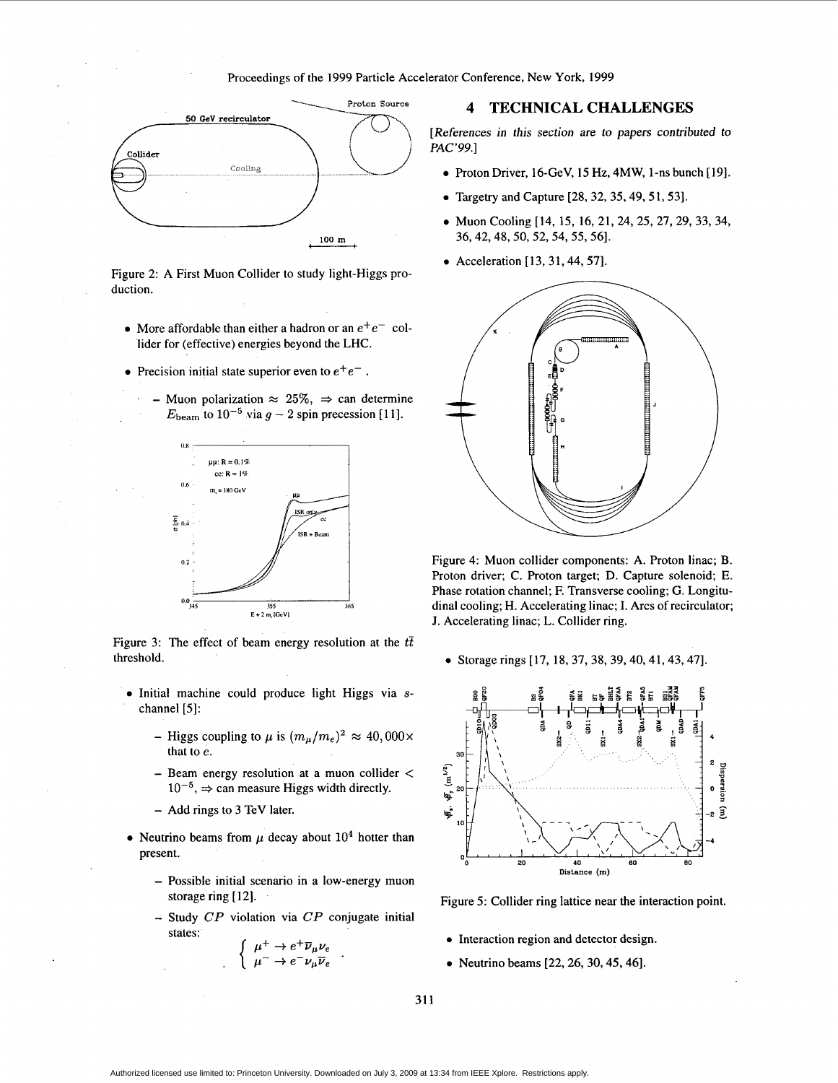

Figure 2: A First Muon Collider to study light-Higgs production.

- More affordable than either a hadron or an  $e^+e^-$  collider for (effective) energies beyond the LHC.
- Precision initial state superior even to  $e^+e^-$ .
	- Muon polarization  $\approx 25\%$ ,  $\Rightarrow$  can determine  $E_{\text{beam}}$  to  $10^{-5}$  via  $g - 2$  spin precession [11].



Figure 3: The effect of beam energy resolution at the  $t\bar{t}$ threshold.

- *0* Initial machine could produce light Higgs via **s**channel [5]:
	- Higgs coupling to  $\mu$  is  $(m_{\mu}/m_e)^2 \approx 40,000 \times$ that to *e.*
	- Beam energy resolution at a muon collider <  $10^{-5}$ ,  $\Rightarrow$  can measure Higgs width directly.
	- Add rings to 3 TeV later.
- Neutrino beams from  $\mu$  decay about  $10^4$  hotter than present.
	- Possible initial scenario in a low-energy muon storage ring [12].
	- Study CP violation via *CP* conjugate initial states:

$$
\begin{cases} \mu^+ \to e^+ \overline{\nu}_{\mu} \nu_e \\ \mu^- \to e^- \nu_{\mu} \overline{\nu}_e \end{cases} .
$$

## **4 TECHNICAL CHALLENGES**

[References in this section are to papers contributed to PAC'99.1

- *<sup>0</sup>*Proton Driver, 16-GeV, 15 Hz, **4MW,** 1 -ns bunch [ 191.
- *0* Targetry and Capture [28,32,35,49,51,53].
- *0* Muon Cooling [14, 15, 16, 21,24, 25, 27, 29, 33,34, 36,42,48,50,52,54, 55,561.
- Acceleration [13, 31, 44, 57].



Figure 4: Muon collider components: A. Proton linac; B. Proton driver; C. Proton target; **D.** Capture solenoid; E. Phase rotation channel; F. Transverse cooling; G. Longitudinal cooling; H. Accelerating linac; I. Arcs of recirculator; J. Accelerating linac; L. Collider ring.

*<sup>0</sup>*Storage rings [ 17, 18, 37,38, 39,40,41,43,47].



Figure 5: Collider ring lattice near the interaction point.

- *0* Interaction region and detector design.
- *0* Neutrino beams [22,26,30,45,461.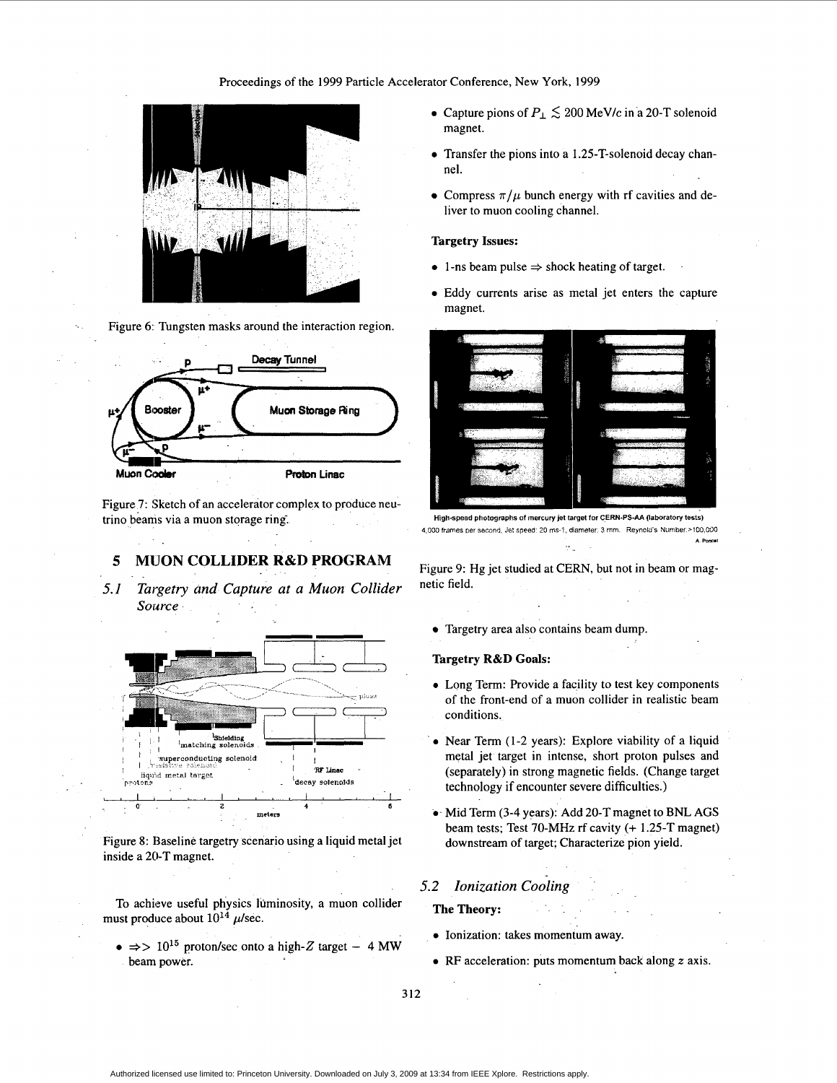

Figure 6: Tungsten masks around the interaction region.



Figure 7: Sketch of an accelerator complex to produce neutrino beanis via a muon storage ring.

# *5* **MlJON COLLIDER R&D PROGRAM**

*5.1 Targetry and Capture at a Muon Collider Source* 



Figure 8: Baseline targetry scenario using a liquid metal jet inside a 20-T magnet.

To achieve useful physics luminosity, a muon collider must produce about  $10^{14}$   $\mu$ /sec.

 $\Rightarrow$   $\Rightarrow$   $10^{15}$  proton/sec onto a high-Z target - 4 MW beam power.

- Capture pions of  $P_{\perp} \lesssim 200 \text{ MeV/c}$  in a 20-T solenoid magnet.
- *0* Transfer the pions into a 1.25-T-solenoid decay channel.
- Compress  $\pi/\mu$  bunch energy with rf cavities and deliver to muon cooling channel.

#### **Targetry Issues:**

- $\bullet$  1-ns beam pulse  $\Rightarrow$  shock heating of target.
- *0* Eddy currents arise as metal jet enters the capture magnet.



**High-speod photographs of mercury jet target for CERN-PS-AA (laboratory tests) 4,000 frames per second, Jet speed: 20 ms-1, diameter. 3 mm. Reynold's Number.>100,000 A** Personal **A** Personal **A** Personal **A** Personal **A** Personal **A** Personal **A** Personal **A** Personal **A** Personal **A** 

Figure 9: Hg jet studied at CERN, but not in beam or magnetic field.

Targetry area also contains beam dump.

#### **Targetry R&D Goals:**

- *0*  Long Term: Provide a facility to test key components of the front-end of a muon collider in realistic beam conditions.
- *0*  Near Term (1-2 years): Explore viability of a liquid metal jet target in intense, short proton pulses and (separately) in strong magnetic fields. (Change target technology if encounter severe difficulties.)
- *0*  Mid Term (3-4 years): Add 20-T magnet to BNL AGS beam tests; Test 70-MHz rf cavity (+ 1.25-T magnet) downstream of target; Characterize pion yield.

# *5.2 Ionization cooling*

#### **The Theory:**

- **0** Ionization: takes momentum away.
- *0* RF acceleration: puts momentum back along *z* axis.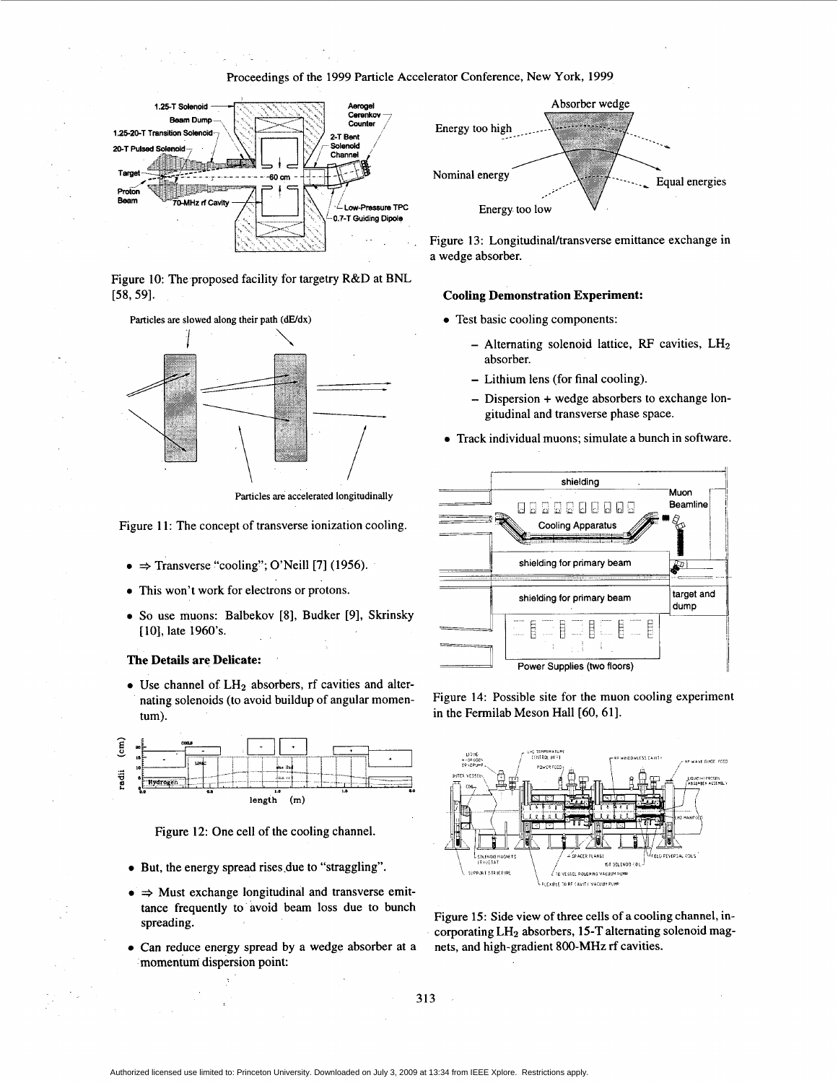### Proceedings of the 1999 Particle Accelerator Conference, New York, 1999



Figure 10: The proposed facility for targetry R&D at BNL [58,59]. **Cooling Demonstration Experiment:** 





Particles are accelerated longitudinally

Figure 11: The concept of transverse ionization cooling.

- $\bullet \Rightarrow$  Transverse "cooling"; O'Neill [7] (1956).
- *0* This won't work for electrons or protons.
- *0* So use muons: Balbekov **[8],** Budker [9], Skrinsky [10], late 1960's.

#### **The Details are Delicate:**

• Use channel of LH<sub>2</sub> absorbers, rf cavities and alternating solenoids (to avoid buildup of angular momentum).



Figure 12: One cell of the cooling channel.

- *0* But, the energy spread rises.due to "straggling".
- $\Rightarrow$  Must exchange longitudinal and transverse emittance frequently to avoid beam loss due to bunch spreading.
- momentum dispersion point: **a** Can reduce energy spread by a wedge absorber at a



Figure 13: Longitudinal/transverse emittance exchange in a wedge absorber.

- - Alternating solenoid lattice, RF cavities, LH<sub>2</sub> absorber.
	- Lithium lens (for final cooling).
	- Dispersion + wedge absorbers to exchange longitudinal and transverse phase space.
- *0* Track individual muons; simulate a bunch in software.



Figure 14: Possible site for the muon cooling experiment in the Fermilab Meson Hall [60, 61].



Figure **15:** Side view of three cells of a cooling channel, incorporating LH2 absorbers, 15-T alternating solenoid magnets, and high-gradient 800-MHz rf cavities.

313